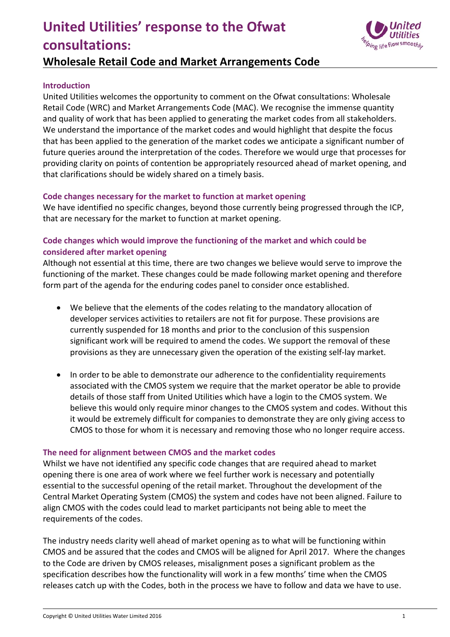# **United Utilities' response to the Ofwat consultations:**



# **Wholesale Retail Code and Market Arrangements Code**

#### **Introduction**

United Utilities welcomes the opportunity to comment on the Ofwat consultations: Wholesale Retail Code (WRC) and Market Arrangements Code (MAC). We recognise the immense quantity and quality of work that has been applied to generating the market codes from all stakeholders. We understand the importance of the market codes and would highlight that despite the focus that has been applied to the generation of the market codes we anticipate a significant number of future queries around the interpretation of the codes. Therefore we would urge that processes for providing clarity on points of contention be appropriately resourced ahead of market opening, and that clarifications should be widely shared on a timely basis.

#### **Code changes necessary for the market to function at market opening**

We have identified no specific changes, beyond those currently being progressed through the ICP, that are necessary for the market to function at market opening.

## **Code changes which would improve the functioning of the market and which could be considered after market opening**

Although not essential at this time, there are two changes we believe would serve to improve the functioning of the market. These changes could be made following market opening and therefore form part of the agenda for the enduring codes panel to consider once established.

- We believe that the elements of the codes relating to the mandatory allocation of developer services activities to retailers are not fit for purpose. These provisions are currently suspended for 18 months and prior to the conclusion of this suspension significant work will be required to amend the codes. We support the removal of these provisions as they are unnecessary given the operation of the existing self‐lay market.
- In order to be able to demonstrate our adherence to the confidentiality requirements associated with the CMOS system we require that the market operator be able to provide details of those staff from United Utilities which have a login to the CMOS system. We believe this would only require minor changes to the CMOS system and codes. Without this it would be extremely difficult for companies to demonstrate they are only giving access to CMOS to those for whom it is necessary and removing those who no longer require access.

### **The need for alignment between CMOS and the market codes**

Whilst we have not identified any specific code changes that are required ahead to market opening there is one area of work where we feel further work is necessary and potentially essential to the successful opening of the retail market. Throughout the development of the Central Market Operating System (CMOS) the system and codes have not been aligned. Failure to align CMOS with the codes could lead to market participants not being able to meet the requirements of the codes.

The industry needs clarity well ahead of market opening as to what will be functioning within CMOS and be assured that the codes and CMOS will be aligned for April 2017. Where the changes to the Code are driven by CMOS releases, misalignment poses a significant problem as the specification describes how the functionality will work in a few months' time when the CMOS releases catch up with the Codes, both in the process we have to follow and data we have to use.